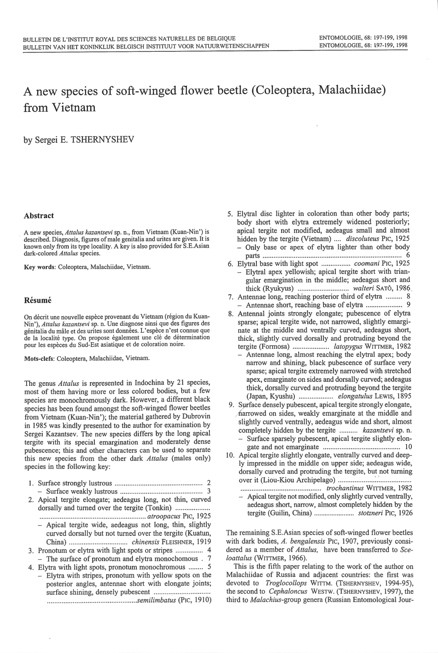# **A new species of soft-winged flower beetle (Coleoptera, Malachiidae) from Vietnam**

by Sergei E. TSHERNYSHEV

### **Abstract**

A new species, *Attalus kazantsevi* sp. <sup>n</sup>., from Vietnam (Kuan-Nin') is described. Diagnosis, figures of male genitalia and urites are given. It is known only from its type locality. A key is also provided for S.E.Asian dark-colored *Attalus* species.

Key words: Coleoptera, Malachiidae, Vietnam.

#### **Resume**

On décrit une nouvelle espèce provenant du Vietnam (région du Kuan-Nin'), *Attalus kazantsevi* sp. n. Une diagnose ainsi que des figures des génitalia du mâle et des urites sont données. L'espèce n'est connue que de la localité type. On propose également une clé de détermination pour les especes du Sud-Est asiatique et de coloration noire.

Mots-clefs: Coleoptera, Malachiidae, Vietnam.

The genus *Attalus* is represented in Indochina by 21 species, most of them having more or less colored bodies, but a few species are monochromously dark. However, a different black species has been found amongst the soft-winged flower beetles from Vietnam (Kuan-Nin'); the material gathered by Dubrovin in 1985 was kindly presented to the author for examination by Sergei Kazantsev. The new species differs by the long apical tergite with its special emargination and moderately dense pubescence; this and other characters can be used to separate this new species from the other dark *Attalus* (males only) species in *the* following key:

- I. Surface strongly lustrous ............................. ................... <sup>2</sup> Surface weakly lustrous ............................................. <sup>3</sup>
- 2. Apical tergite elongate; aedeagus long, not thin, curved dorsally and turned over the tergite (Tonkin) ................... .......................................................... *atroopacus* Pic, 1925
	- Apical tergite wide, aedeagus not long, thin, slightly curved dorsally but not turned over the tergite (Kuatun, China) ................................ *chinensis* FLEISHNER, 1919
- 3. Pronotum or elytra with light spots or stripes ............... 4 - The surface of pronotum and elytra monochomous . 7
- 4. Elytra with light spots, pronotum monochromous ........ 5
- Elytra with stripes, pronotum with yellow spots on the posterior angles, antennae short with elongate joints; surface shining, densely pubescent .............................. . .........................................*........ semilimbatus* (PIC, 191 0)
- 5. Elytral disc lighter in coloration than other body parts; body short with elytra extremely widened posteriorly; apical tergite not modified, aedeagus small and almost hidden by the tergite (Vietnam) .... *discoluteus* PIC, <sup>1925</sup>
- Only base or apex of elytra lighter than other body parts ............................................................................ 6 6. Elytral base with light spot ........... ..... *coomani* Pic, 1925
- Elytral apex yellowish; apical tergite short with triangular emargination in the middle; aedeagus short and thick (Ryukyus) ............................ *wa!teri* SAn), 1989.
- 7. Antennae long, reaching posterior third of elytra ......... 8 - Antennae short, reaching base of elytra .................... 9
- 8. Antenna! joints strongly elongate; pubescence of elytra sparse; apical tergite wide, not narrowed, slightly emarginate at the middle and ventrally curved, aedeagus short, thick, slightly curved dorsally and protruding beyond the tergite (Fonnosa) .................... *latopygus* WITTMER, <sup>1982</sup>
	- Antennae long, almost reaching the elytral apex; body narrow and shining, black pubescence of surface very sparse; apical tergite extremely narrowed with stretched apex, emarginate on sides and dorsally curved; aedeagus thick, dorsally curved and protruding beyond the tergit<sup>e</sup> (Japan, Kyushu) ................... *elongatulus* LEWIS, <sup>1895</sup>
- 9. Surface densely pubescent, apical tergite strongly elongate, harrowed on sides, weakly emarginate at the middle and slightly curved ventrally, aedeagus wide and short, almost completely hidden by the tergite .......... *kazantsevi* sp. n.
	- Surface sparsely pubescent, apical tergite slightly elongate and not emarginate . . . . ... . . . . . .. . . . . .. . . . .. . . . . . .. . . . . . .. . . . I 0
- <sup>1</sup>0. Apical tergite slightly elongate, ventrally curved and deeply impressed in the middle on upper side; aedeagus wide, dorsally curved and protruding the tergite, but not turning over it (Liou-Kiou Archipelago) .................... :'.' ................. .
	- ... ....................... .................. *trochantinus* WITTMER, 1982
	- Apical tergite not modified, only slightly curved ventrally, aedeagus short, narrow, almost completely hidden by the tergite (Guilin, China) ....................... *stotzneri* Pic, 1926

The remaining S.E.Asian species of soft-winged flower beetles with dark bodies, *A. bengalensis* P1c, 1907, previously considered as a member of *Attalus,* have been transferred to *Sceloattalus* (WITTMER, 1966).

This is the fifth paper relating to the work of the author on Malachiidae of Russia and adjacent countries: the first was devoted to *Troglocollops* WITTM. (TSHERNYSHEV, 1994-95), the second to *Cephaloncus* WESTW. (TSHERNYSHEV, 1997), the third to *Malachius-group* genera (Russian Entomological Jour-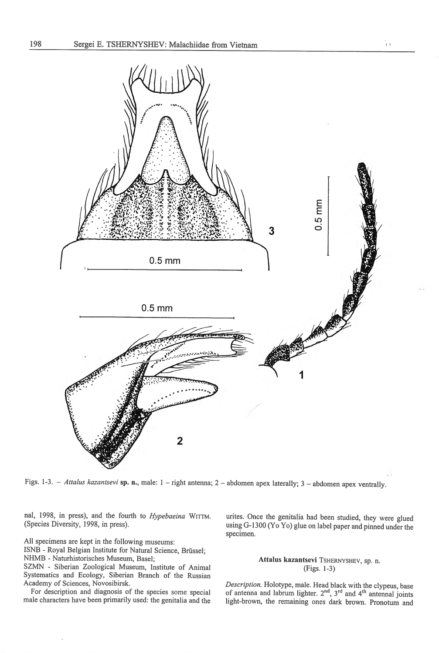

Figs. 1-3. - *Attalus kazantsevi* **sp. n.**, male: 1 - right antenna; 2 - abdomen apex laterally; 3 - abdomen apex ventrally.

nal, 1998, in press), and the fourth to *Hypebaeina* WITTM. (Species Diversity, 1998, in press).

<sup>A</sup>ll specimens are kept in the following museums:

ISNB - Royal Belgian Institute for Natural Science, Brüssel;

NHMB - Naturhistorisches Museum, Basel;

SZMN - Siberian Zoological Museum, Institute of Animal Systematics and Ecology, Siberian Branch of the Russian Academy of Sciences, Novosibirsk.

For description and diagnosis of the species some special male characters have been primarily used: the genitalia and the urites. Once the genitalia had been studied, they were glued using G- 1300 (Yo Yo) glue on label paper and pinned under the specimen.

Îт.

# **Attalus kazantsevi** TSHERNYSHEV, sp. n. (Figs. 1-3)

*Description.* Holotype, male. Head black with the clypeus, base of antenna and labrum lighter. 2<sup>nd</sup>, 3<sup>rd</sup> and 4<sup>th</sup> antennal joints light-brown, the remaining ones dark brown. Pronotum and